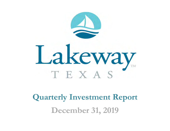

**Quarterly Investment Report December 31, 2019**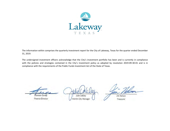

The information within comprises the quarterly investment report for the City of Lakeway, Texas for the quarter ended December 31, 2019.

The undersigned investment officers acknowledge that the City's investment portfolio has been and is currently in compliance with the policies and strategies contained in the City's investment policy as adopted by resolution 2019-09-30-01 and is in compliance with the requirements of the Public Funds Investment Act of the State of Texas.

 $\sim$ Shereen Gendy Streteen Germay

 $\sim$  $\frac{1}{2}$ Julie Oakley

JimNelson

Treasurer

Interim City Manager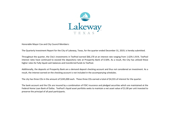

Honorable Mayor Cox and City Council Members:

The Quarterly Investment Report for the City of Lakeway, Texas, for the quarter ended December 31, 2019, is hereby submitted.

Throughout the quarter, the City's investments in TexPool earned \$66,170 at an interest rate ranging from 1.62%‐1.91%. TexPool interest rates have continued to exceed the depository rate at Prosperity Bank of 0.50%. As <sup>a</sup> result, the City has utilized these higher rates for fully liquid cash balances and transferred funds to TexPool.

Additionally, the deposits at Prosperity Bank are <sup>a</sup> demand deposit checking account and thus not considered an investment. As <sup>a</sup> result, the interest earned on the checking account is not included in the accompanying schedules.

The city has three CDs in the amount of \$245,000 each. These three CDs earned <sup>a</sup> total of \$4,555 of interest for the quarter.

The bank account and the CDs are insured by <sup>a</sup> combination of FDIC insurance and pledged securities which are maintained at the Federal Home Loan Bank of Dallas. TexPool's liquid asset portfolio seeks to maintain <sup>a</sup> net asset value of \$1.00 per unit invested to preserve the principal of all pool participants.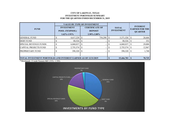#### **CITY OF LAKEWAY, TEXAS INVESTMENT PORTFOLIO SUMMARY FOR THE QUARTER ENDED DECEMBER 31, 2019**

| <b>FUND</b>                                                            | <b>VALUE BY TYPE OF INVESTMENT</b><br><b>INVESTMENT</b><br><b>POOL (TEXPOOL)</b><br>$1.62\% - 1.91\%$ |            |  | <b>CERTIFICATE OF</b><br><b>DEPOSIT</b><br>$2.50\% - 2.80\%$ |   | <b>TOTAL</b><br><b>INVESTMENT</b> |  | <b>INTEREST</b><br><b>EARNED FOR THE</b><br><b>QUARTER</b> |  |  |
|------------------------------------------------------------------------|-------------------------------------------------------------------------------------------------------|------------|--|--------------------------------------------------------------|---|-----------------------------------|--|------------------------------------------------------------|--|--|
| <b>GENERAL FUND</b>                                                    |                                                                                                       | 4,617,228  |  | 754,298                                                      | ъ | 5,371,526                         |  | 26,666                                                     |  |  |
| <b>DEBT FUND</b>                                                       |                                                                                                       | 80,526     |  |                                                              |   | 80,526                            |  | 352                                                        |  |  |
| <b>SPECIAL REVENUE FUNDS</b>                                           |                                                                                                       | 6,860,837  |  |                                                              |   | 6,860,837                         |  | 29,000                                                     |  |  |
| <b>CAPITAL PROJECTS FUND</b>                                           |                                                                                                       | 2,755,574  |  |                                                              |   | 2,755,574                         |  | 12,967                                                     |  |  |
| <b>PROPRIETARY FUND</b>                                                |                                                                                                       | 398,320    |  | -                                                            |   | 398,320                           |  | 1,740                                                      |  |  |
| <b>TOTAL INVESTMENT PORTFOLIO AND INTEREST EARNED AS OF 12/31/2019</b> |                                                                                                       | 15,466,783 |  | 70,725                                                       |   |                                   |  |                                                            |  |  |

\* Benchmark: 13 week Treasury Bill 1.51% - 1.76%

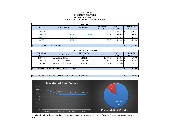#### **GENERAL FUND INVESTMENT PORTFOLIO BY TYPE OF INVESTMENTFOR THE QUARTER ENDED DECEMBER 31, 2019**

| <b>INVESTMENT POOL</b> |                                       |       |                                 |           |                  |                             |           |    |                               |  |  |  |
|------------------------|---------------------------------------|-------|---------------------------------|-----------|------------------|-----------------------------|-----------|----|-------------------------------|--|--|--|
| <b>DATE</b>            | <b>PURCHASED</b>                      |       | <b>REDEEMED</b><br><b>VALUE</b> |           | <b>NET ASSET</b> | <b>FACE</b><br><b>VALUE</b> |           |    | <b>MARKET</b><br><b>VALUE</b> |  |  |  |
| 9/30/2019              |                                       |       |                                 |           | 1.00             |                             | 5,795,118 | -S | 5,795,118                     |  |  |  |
| 10/30/2019             |                                       | 9,408 | -S                              | 1,200,000 | 1.00             | -S                          | 4,604,526 | S  | 4,604,526                     |  |  |  |
| 11/30/2019             |                                       | 6,348 | - S                             |           | 1.00             | -S                          | 4,610,874 |    | 4,610,874                     |  |  |  |
| 12/31/2019             |                                       | 6,354 | 'S                              | ۰         | 0.0              | -S                          | 4,617,228 |    | 4,617,228                     |  |  |  |
|                        |                                       |       |                                 |           |                  |                             |           |    |                               |  |  |  |
|                        | <b>TOTAL TEXPOOL AS OF 12/31/2019</b> |       |                                 |           |                  |                             |           |    |                               |  |  |  |

| <b>CERTIFICATES OF DEPOSIT</b> |                                                       |                                |              |                             |  |                               |  |  |  |  |  |
|--------------------------------|-------------------------------------------------------|--------------------------------|--------------|-----------------------------|--|-------------------------------|--|--|--|--|--|
| <b>PURCHASE</b><br><b>DATE</b> | <b>BANK/TERM</b>                                      | <b>MATURITY</b><br><b>DATE</b> | <b>YIELD</b> | <b>FACE</b><br><b>VALUE</b> |  | <b>MARKET</b><br><b>VALUE</b> |  |  |  |  |  |
| 7/28/2018                      | Anthem Bank - 18 Mo                                   | 1/28/2020                      | 2.80%        | 245,000                     |  | 251,977                       |  |  |  |  |  |
| 11/30/2018                     | First United Bank - 14 Mo                             | 1/30/2020                      |              | 245,000                     |  | 251,246                       |  |  |  |  |  |
| 1/4/2019                       | Independent Bank - 13 Mo                              | 2/3/2020                       | 2.50%        | 245,000                     |  | 251,075                       |  |  |  |  |  |
|                                |                                                       |                                |              |                             |  |                               |  |  |  |  |  |
|                                | <b>TOTAL CERTIFICATES OF DEPOSIT AS OF 12/31/2019</b> |                                |              |                             |  |                               |  |  |  |  |  |

#### **TOTAL GENERAL FUND INVESTMENT PORTFOLIO AS OF 12/31/2019**

**\$ 5,371,526**



**Note:** In anticipation of the slow down in the property tax revenue collection, about \$1.2M was transferred from Texpool to the operating cash at the bank.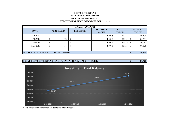# **DEBT SERVICE FUNDINVESTMENT PORTFOLIO BY TYPE OF INVESTMENT FOR THE QUARTER ENDED DECEMBER 31, 2019**

| <b>INVESTMENT POOL</b> |                                                 |                  |  |                 |                                  |  |                             |      |                               |  |  |
|------------------------|-------------------------------------------------|------------------|--|-----------------|----------------------------------|--|-----------------------------|------|-------------------------------|--|--|
| <b>DATE</b>            |                                                 | <b>PURCHASED</b> |  | <b>REDEEMED</b> | <b>NET ASSET</b><br><b>VALUE</b> |  | <b>FACE</b><br><b>VALUE</b> |      | <b>MARKET</b><br><b>VALUE</b> |  |  |
| 9/30/2019              |                                                 |                  |  |                 | 1.00S                            |  | 80,174                      | 'S   | 80,174                        |  |  |
| 10/30/2019             |                                                 | 130              |  |                 | $1.00\,$ \$                      |  | 80,304                      | - \$ | 80,304                        |  |  |
| 11/30/2019             |                                                 | 111              |  |                 | $1.00\,$ \$                      |  | 80,415                      | -S   | 80,415                        |  |  |
| 12/31/2019             |                                                 | 111              |  |                 | 1.00S                            |  | 80,526                      | -S   | 80,526                        |  |  |
|                        |                                                 |                  |  |                 |                                  |  |                             |      |                               |  |  |
|                        | <b>TOTAL DEBT SERVICE FUND AS OF 12/31/2019</b> |                  |  |                 |                                  |  |                             |      |                               |  |  |





**Note:** Investment balance increase due to the interest income.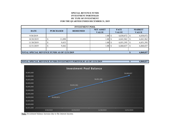# **SPECIAL REVENUE FUNDSINVESTMENT PORTFOLIO BY TYPE OF INVESTMENT FOR THE QUARTER ENDED DECEMBER 31, 2019**

| <b>INVESTMENT POOL</b> |                                                     |                 |                                  |                             |                               |  |  |  |  |  |  |
|------------------------|-----------------------------------------------------|-----------------|----------------------------------|-----------------------------|-------------------------------|--|--|--|--|--|--|
| <b>DATE</b>            | <b>PURCHASED</b>                                    | <b>REDEEMED</b> | <b>NET ASSET</b><br><b>VALUE</b> | <b>FACE</b><br><b>VALUE</b> | <b>MARKET</b><br><b>VALUE</b> |  |  |  |  |  |  |
| 9/30/2019              |                                                     |                 | 1.00                             | 6,830,872                   | 6,830,872                     |  |  |  |  |  |  |
| 10/30/2019             | 11,090                                              |                 | 1.00S                            | 6,841,962                   | 6,841,962                     |  |  |  |  |  |  |
| 11/30/2019             | 9,433                                               |                 | 1.00                             | 6,851,395                   | 6,851,395                     |  |  |  |  |  |  |
| 12/31/2019             | 9,442                                               |                 | 1.00                             | 6,860,837                   | 6,860,837                     |  |  |  |  |  |  |
|                        |                                                     |                 |                                  |                             |                               |  |  |  |  |  |  |
|                        | <b>TOTAL SPECIAL REVENUE FUNDS AS OF 12/31/2019</b> |                 |                                  |                             |                               |  |  |  |  |  |  |





**Note:** Investment balance increase due to the interest income.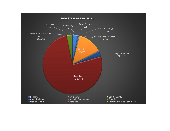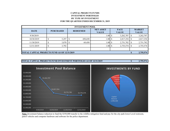# **CAPITAL PROJECTS FUNDSINVESTMENT PORTFOLIO BY TYPE OF INVESTMENT FOR THE QUARTER ENDED DECEMBER 31, 2019**

| <b>INVESTMENT POOL</b>                              |                  |       |  |                 |                                  |  |                             |  |                               |  |  |
|-----------------------------------------------------|------------------|-------|--|-----------------|----------------------------------|--|-----------------------------|--|-------------------------------|--|--|
| <b>DATE</b>                                         | <b>PURCHASED</b> |       |  | <b>REDEEMED</b> | <b>NET ASSET</b><br><b>VALUE</b> |  | <b>FACE</b><br><b>VALUE</b> |  | <b>MARKET</b><br><b>VALUE</b> |  |  |
| 9/30/2019                                           |                  |       |  |                 | 1.00                             |  | 3,262,707                   |  | 3,262,707                     |  |  |
| 10/30/2019                                          |                  | 5,297 |  | 450,650         | 1.00                             |  | 2,817,354                   |  | 2,817,354                     |  |  |
| 11/30/2019                                          |                  | 3,878 |  | 69,450          | 1.00                             |  | 2,751,782                   |  | 2,751,782                     |  |  |
| 12/31/2019                                          |                  | 3,792 |  |                 | 1.00                             |  | 2,755,574                   |  | 2,755,574                     |  |  |
|                                                     |                  |       |  |                 |                                  |  |                             |  |                               |  |  |
| <b>TOTAL CAPITAL PROJECTS FUND AS OF 12/31/2019</b> |                  |       |  |                 |                                  |  |                             |  | 2,755,574                     |  |  |





**Note:** Investment balance reduction to fund the \$350,000 transfer to the wildfire mitigation fund and pay for the city park lower Level restroom, patrol vehicles and computer hardware and software for the police department.